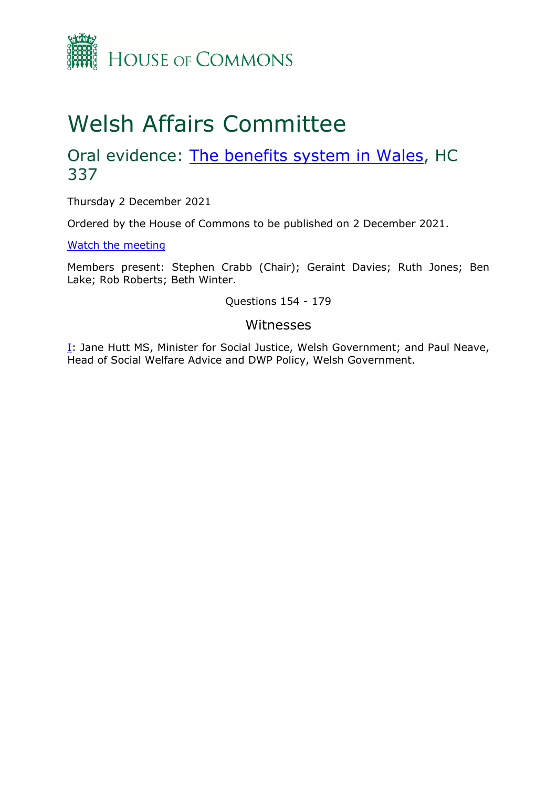

## Welsh Affairs Committee

## Oral evidence: [The](https://committees.parliament.uk/work/1291/the-benefits-system-in-wales/) [benefits](https://committees.parliament.uk/work/1291/the-benefits-system-in-wales/) [system](https://committees.parliament.uk/work/1291/the-benefits-system-in-wales/) [in](https://committees.parliament.uk/work/1291/the-benefits-system-in-wales/) [Wales,](https://committees.parliament.uk/work/1291/the-benefits-system-in-wales/) HC 337

Thursday 2 December 2021

Ordered by the House of Commons to be published on 2 December 2021.

[Watch](https://parliamentlive.tv/event/index/a101a7f3-cd40-45d5-aa52-325fc2338062) [the](https://parliamentlive.tv/event/index/a101a7f3-cd40-45d5-aa52-325fc2338062) [meeting](https://parliamentlive.tv/event/index/a101a7f3-cd40-45d5-aa52-325fc2338062)

Members present: Stephen Crabb (Chair); Geraint Davies; Ruth Jones; Ben Lake; Rob Roberts; Beth Winter.

Questions 154 - 179

## Witnesses

[I:](#page-1-0) Jane Hutt MS, Minister for Social Justice, Welsh Government; and Paul Neave, Head of Social Welfare Advice and DWP Policy, Welsh Government.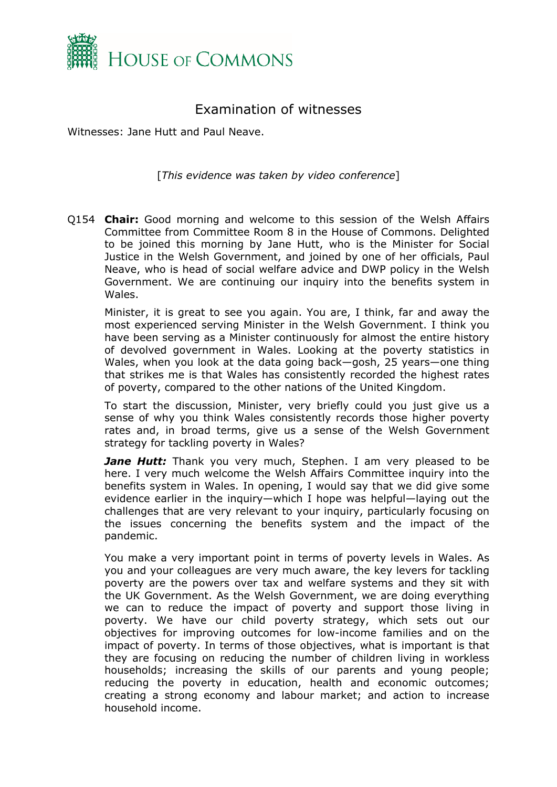

## <span id="page-1-0"></span>Examination of witnesses

Witnesses: Jane Hutt and Paul Neave.

[*This evidence was taken by video conference*]

Q154 **Chair:** Good morning and welcome to this session of the Welsh Affairs Committee from Committee Room 8 in the House of Commons. Delighted to be joined this morning by Jane Hutt, who is the Minister for Social Justice in the Welsh Government, and joined by one of her officials, Paul Neave, who is head of social welfare advice and DWP policy in the Welsh Government. We are continuing our inquiry into the benefits system in Wales.

Minister, it is great to see you again. You are, I think, far and away the most experienced serving Minister in the Welsh Government. I think you have been serving as a Minister continuously for almost the entire history of devolved government in Wales. Looking at the poverty statistics in Wales, when you look at the data going back—gosh, 25 years—one thing that strikes me is that Wales has consistently recorded the highest rates of poverty, compared to the other nations of the United Kingdom.

To start the discussion, Minister, very briefly could you just give us a sense of why you think Wales consistently records those higher poverty rates and, in broad terms, give us a sense of the Welsh Government strategy for tackling poverty in Wales?

*Jane Hutt:* Thank you very much, Stephen. I am very pleased to be here. I very much welcome the Welsh Affairs Committee inquiry into the benefits system in Wales. In opening, I would say that we did give some evidence earlier in the inquiry—which I hope was helpful—laying out the challenges that are very relevant to your inquiry, particularly focusing on the issues concerning the benefits system and the impact of the pandemic.

You make a very important point in terms of poverty levels in Wales. As you and your colleagues are very much aware, the key levers for tackling poverty are the powers over tax and welfare systems and they sit with the UK Government. As the Welsh Government, we are doing everything we can to reduce the impact of poverty and support those living in poverty. We have our child poverty strategy, which sets out our objectives for improving outcomes for low-income families and on the impact of poverty. In terms of those objectives, what is important is that they are focusing on reducing the number of children living in workless households; increasing the skills of our parents and young people; reducing the poverty in education, health and economic outcomes; creating a strong economy and labour market; and action to increase household income.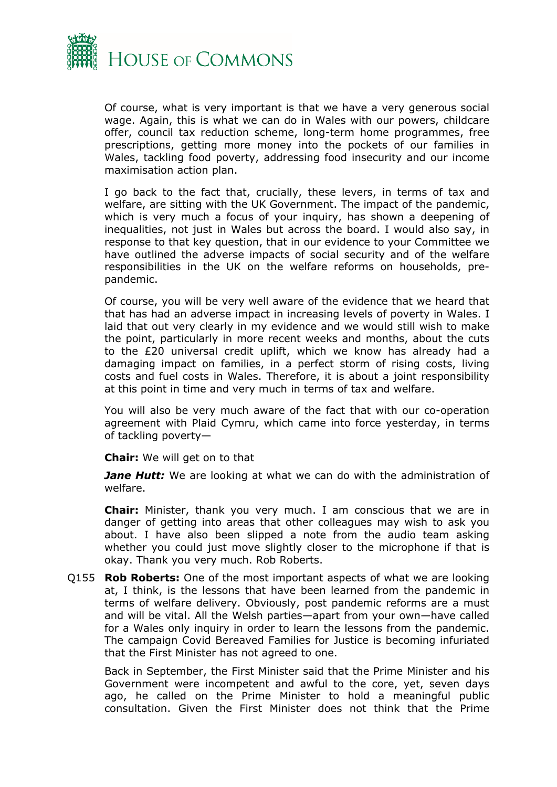

Of course, what is very important is that we have a very generous social wage. Again, this is what we can do in Wales with our powers, childcare offer, council tax reduction scheme, long-term home programmes, free prescriptions, getting more money into the pockets of our families in Wales, tackling food poverty, addressing food insecurity and our income maximisation action plan.

I go back to the fact that, crucially, these levers, in terms of tax and welfare, are sitting with the UK Government. The impact of the pandemic, which is very much a focus of your inquiry, has shown a deepening of inequalities, not just in Wales but across the board. I would also say, in response to that key question, that in our evidence to your Committee we have outlined the adverse impacts of social security and of the welfare responsibilities in the UK on the welfare reforms on households, prepandemic.

Of course, you will be very well aware of the evidence that we heard that that has had an adverse impact in increasing levels of poverty in Wales. I laid that out very clearly in my evidence and we would still wish to make the point, particularly in more recent weeks and months, about the cuts to the £20 universal credit uplift, which we know has already had a damaging impact on families, in a perfect storm of rising costs, living costs and fuel costs in Wales. Therefore, it is about a joint responsibility at this point in time and very much in terms of tax and welfare.

You will also be very much aware of the fact that with our co-operation agreement with Plaid Cymru, which came into force yesterday, in terms of tackling poverty—

**Chair:** We will get on to that

*Jane Hutt:* We are looking at what we can do with the administration of welfare.

**Chair:** Minister, thank you very much. I am conscious that we are in danger of getting into areas that other colleagues may wish to ask you about. I have also been slipped a note from the audio team asking whether you could just move slightly closer to the microphone if that is okay. Thank you very much. Rob Roberts.

Q155 **Rob Roberts:** One of the most important aspects of what we are looking at, I think, is the lessons that have been learned from the pandemic in terms of welfare delivery. Obviously, post pandemic reforms are a must and will be vital. All the Welsh parties—apart from your own—have called for a Wales only inquiry in order to learn the lessons from the pandemic. The campaign Covid Bereaved Families for Justice is becoming infuriated that the First Minister has not agreed to one.

Back in September, the First Minister said that the Prime Minister and his Government were incompetent and awful to the core, yet, seven days ago, he called on the Prime Minister to hold a meaningful public consultation. Given the First Minister does not think that the Prime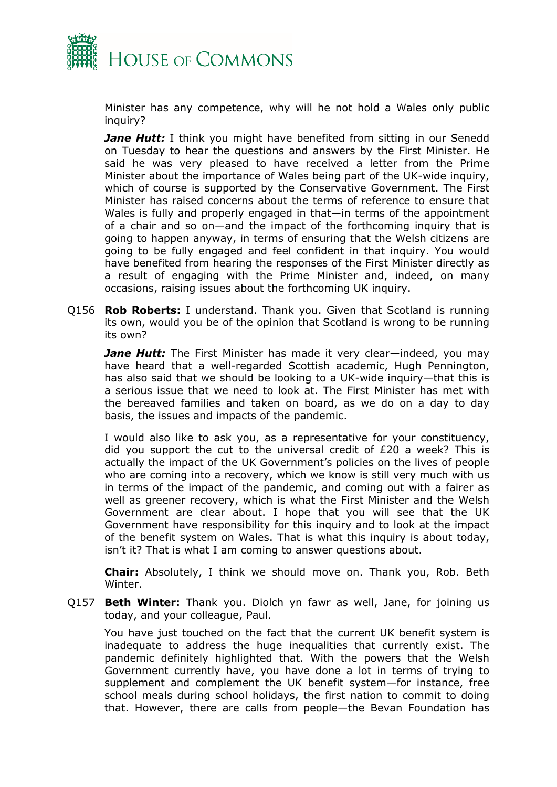

Minister has any competence, why will he not hold a Wales only public inquiry?

**Jane Hutt:** I think you might have benefited from sitting in our Senedd on Tuesday to hear the questions and answers by the First Minister. He said he was very pleased to have received a letter from the Prime Minister about the importance of Wales being part of the UK-wide inquiry, which of course is supported by the Conservative Government. The First Minister has raised concerns about the terms of reference to ensure that Wales is fully and properly engaged in that—in terms of the appointment of a chair and so on—and the impact of the forthcoming inquiry that is going to happen anyway, in terms of ensuring that the Welsh citizens are going to be fully engaged and feel confident in that inquiry. You would have benefited from hearing the responses of the First Minister directly as a result of engaging with the Prime Minister and, indeed, on many occasions, raising issues about the forthcoming UK inquiry.

Q156 **Rob Roberts:** I understand. Thank you. Given that Scotland is running its own, would you be of the opinion that Scotland is wrong to be running its own?

*Jane Hutt:* The First Minister has made it very clear—indeed, you may have heard that a well-regarded Scottish academic, Hugh Pennington, has also said that we should be looking to a UK-wide inquiry—that this is a serious issue that we need to look at. The First Minister has met with the bereaved families and taken on board, as we do on a day to day basis, the issues and impacts of the pandemic.

I would also like to ask you, as a representative for your constituency, did you support the cut to the universal credit of £20 a week? This is actually the impact of the UK Government's policies on the lives of people who are coming into a recovery, which we know is still very much with us in terms of the impact of the pandemic, and coming out with a fairer as well as greener recovery, which is what the First Minister and the Welsh Government are clear about. I hope that you will see that the UK Government have responsibility for this inquiry and to look at the impact of the benefit system on Wales. That is what this inquiry is about today, isn't it? That is what I am coming to answer questions about.

**Chair:** Absolutely, I think we should move on. Thank you, Rob. Beth Winter.

Q157 **Beth Winter:** Thank you. Diolch yn fawr as well, Jane, for joining us today, and your colleague, Paul.

You have just touched on the fact that the current UK benefit system is inadequate to address the huge inequalities that currently exist. The pandemic definitely highlighted that. With the powers that the Welsh Government currently have, you have done a lot in terms of trying to supplement and complement the UK benefit system—for instance, free school meals during school holidays, the first nation to commit to doing that. However, there are calls from people—the Bevan Foundation has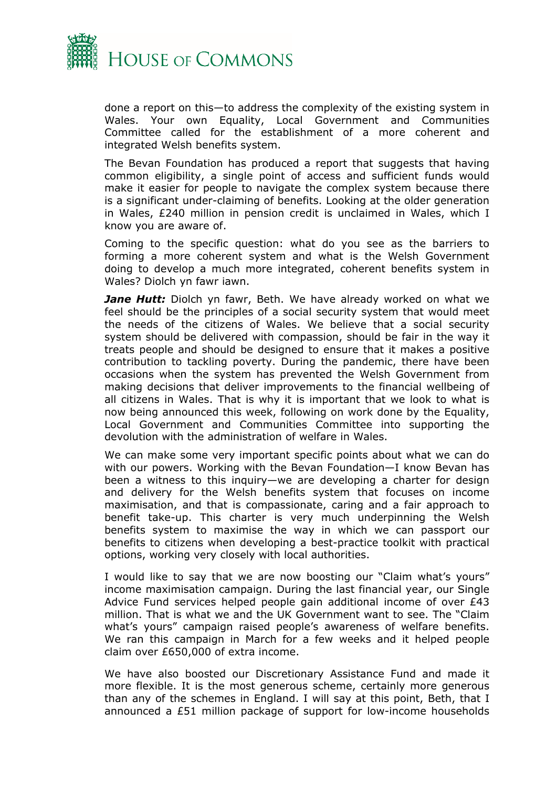

done a report on this—to address the complexity of the existing system in Wales. Your own Equality, Local Government and Communities Committee called for the establishment of a more coherent and integrated Welsh benefits system.

The Bevan Foundation has produced a report that suggests that having common eligibility, a single point of access and sufficient funds would make it easier for people to navigate the complex system because there is a significant under-claiming of benefits. Looking at the older generation in Wales, £240 million in pension credit is unclaimed in Wales, which I know you are aware of.

Coming to the specific question: what do you see as the barriers to forming a more coherent system and what is the Welsh Government doing to develop a much more integrated, coherent benefits system in Wales? Diolch yn fawr iawn.

*Jane Hutt:* Diolch yn fawr, Beth. We have already worked on what we feel should be the principles of a social security system that would meet the needs of the citizens of Wales. We believe that a social security system should be delivered with compassion, should be fair in the way it treats people and should be designed to ensure that it makes a positive contribution to tackling poverty. During the pandemic, there have been occasions when the system has prevented the Welsh Government from making decisions that deliver improvements to the financial wellbeing of all citizens in Wales. That is why it is important that we look to what is now being announced this week, following on work done by the Equality, Local Government and Communities Committee into supporting the devolution with the administration of welfare in Wales.

We can make some very important specific points about what we can do with our powers. Working with the Bevan Foundation—I know Bevan has been a witness to this inquiry—we are developing a charter for design and delivery for the Welsh benefits system that focuses on income maximisation, and that is compassionate, caring and a fair approach to benefit take-up. This charter is very much underpinning the Welsh benefits system to maximise the way in which we can passport our benefits to citizens when developing a best-practice toolkit with practical options, working very closely with local authorities.

I would like to say that we are now boosting our "Claim what's yours" income maximisation campaign. During the last financial year, our Single Advice Fund services helped people gain additional income of over £43 million. That is what we and the UK Government want to see. The "Claim what's yours" campaign raised people's awareness of welfare benefits. We ran this campaign in March for a few weeks and it helped people claim over £650,000 of extra income.

We have also boosted our Discretionary Assistance Fund and made it more flexible. It is the most generous scheme, certainly more generous than any of the schemes in England. I will say at this point, Beth, that I announced a £51 million package of support for low-income households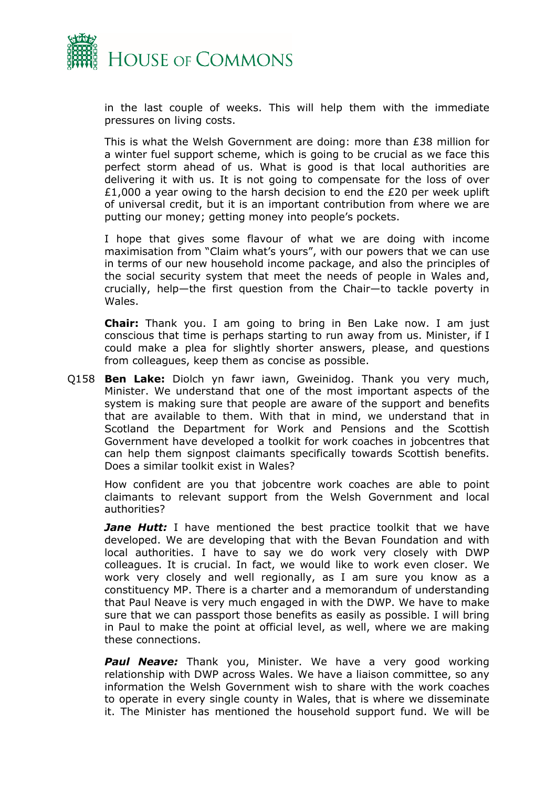

in the last couple of weeks. This will help them with the immediate pressures on living costs.

This is what the Welsh Government are doing: more than £38 million for a winter fuel support scheme, which is going to be crucial as we face this perfect storm ahead of us. What is good is that local authorities are delivering it with us. It is not going to compensate for the loss of over £1,000 a year owing to the harsh decision to end the £20 per week uplift of universal credit, but it is an important contribution from where we are putting our money; getting money into people's pockets.

I hope that gives some flavour of what we are doing with income maximisation from "Claim what's yours", with our powers that we can use in terms of our new household income package, and also the principles of the social security system that meet the needs of people in Wales and, crucially, help—the first question from the Chair—to tackle poverty in Wales.

**Chair:** Thank you. I am going to bring in Ben Lake now. I am just conscious that time is perhaps starting to run away from us. Minister, if I could make a plea for slightly shorter answers, please, and questions from colleagues, keep them as concise as possible.

Q158 **Ben Lake:** Diolch yn fawr iawn, Gweinidog. Thank you very much, Minister. We understand that one of the most important aspects of the system is making sure that people are aware of the support and benefits that are available to them. With that in mind, we understand that in Scotland the Department for Work and Pensions and the Scottish Government have developed a toolkit for work coaches in jobcentres that can help them signpost claimants specifically towards Scottish benefits. Does a similar toolkit exist in Wales?

How confident are you that jobcentre work coaches are able to point claimants to relevant support from the Welsh Government and local authorities?

*Jane Hutt:* I have mentioned the best practice toolkit that we have developed. We are developing that with the Bevan Foundation and with local authorities. I have to say we do work very closely with DWP colleagues. It is crucial. In fact, we would like to work even closer. We work very closely and well regionally, as I am sure you know as a constituency MP. There is a charter and a memorandum of understanding that Paul Neave is very much engaged in with the DWP. We have to make sure that we can passport those benefits as easily as possible. I will bring in Paul to make the point at official level, as well, where we are making these connections.

*Paul Neave:* Thank you, Minister. We have a very good working relationship with DWP across Wales. We have a liaison committee, so any information the Welsh Government wish to share with the work coaches to operate in every single county in Wales, that is where we disseminate it. The Minister has mentioned the household support fund. We will be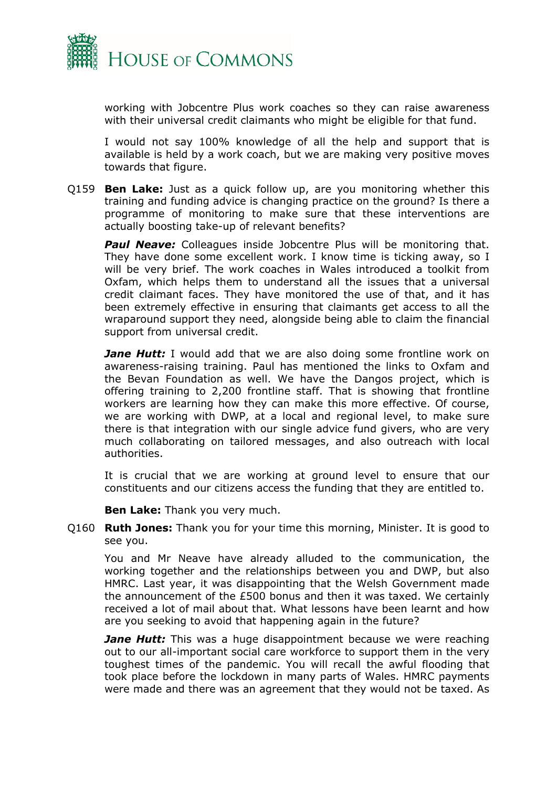

working with Jobcentre Plus work coaches so they can raise awareness with their universal credit claimants who might be eligible for that fund.

I would not say 100% knowledge of all the help and support that is available is held by a work coach, but we are making very positive moves towards that figure.

Q159 **Ben Lake:** Just as a quick follow up, are you monitoring whether this training and funding advice is changing practice on the ground? Is there a programme of monitoring to make sure that these interventions are actually boosting take-up of relevant benefits?

**Paul Neave:** Colleagues inside Jobcentre Plus will be monitoring that. They have done some excellent work. I know time is ticking away, so I will be very brief. The work coaches in Wales introduced a toolkit from Oxfam, which helps them to understand all the issues that a universal credit claimant faces. They have monitored the use of that, and it has been extremely effective in ensuring that claimants get access to all the wraparound support they need, alongside being able to claim the financial support from universal credit.

*Jane Hutt:* I would add that we are also doing some frontline work on awareness-raising training. Paul has mentioned the links to Oxfam and the Bevan Foundation as well. We have the Dangos project, which is offering training to 2,200 frontline staff. That is showing that frontline workers are learning how they can make this more effective. Of course, we are working with DWP, at a local and regional level, to make sure there is that integration with our single advice fund givers, who are very much collaborating on tailored messages, and also outreach with local authorities.

It is crucial that we are working at ground level to ensure that our constituents and our citizens access the funding that they are entitled to.

**Ben Lake:** Thank you very much.

Q160 **Ruth Jones:** Thank you for your time this morning, Minister. It is good to see you.

You and Mr Neave have already alluded to the communication, the working together and the relationships between you and DWP, but also HMRC. Last year, it was disappointing that the Welsh Government made the announcement of the £500 bonus and then it was taxed. We certainly received a lot of mail about that. What lessons have been learnt and how are you seeking to avoid that happening again in the future?

*Jane Hutt:* This was a huge disappointment because we were reaching out to our all-important social care workforce to support them in the very toughest times of the pandemic. You will recall the awful flooding that took place before the lockdown in many parts of Wales. HMRC payments were made and there was an agreement that they would not be taxed. As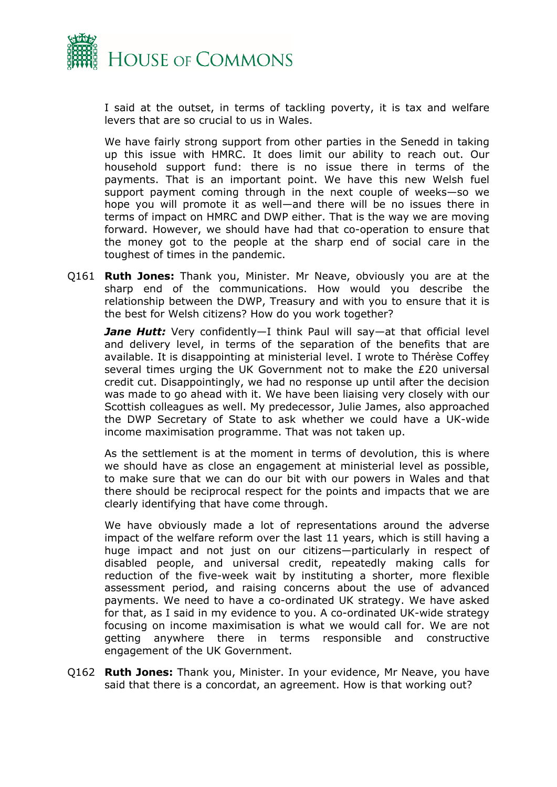

I said at the outset, in terms of tackling poverty, it is tax and welfare levers that are so crucial to us in Wales.

We have fairly strong support from other parties in the Senedd in taking up this issue with HMRC. It does limit our ability to reach out. Our household support fund: there is no issue there in terms of the payments. That is an important point. We have this new Welsh fuel support payment coming through in the next couple of weeks—so we hope you will promote it as well—and there will be no issues there in terms of impact on HMRC and DWP either. That is the way we are moving forward. However, we should have had that co-operation to ensure that the money got to the people at the sharp end of social care in the toughest of times in the pandemic.

Q161 **Ruth Jones:** Thank you, Minister. Mr Neave, obviously you are at the sharp end of the communications. How would you describe the relationship between the DWP, Treasury and with you to ensure that it is the best for Welsh citizens? How do you work together?

*Jane Hutt:* Very confidently—I think Paul will say—at that official level and delivery level, in terms of the separation of the benefits that are available. It is disappointing at ministerial level. I wrote to Thérèse Coffey several times urging the UK Government not to make the £20 universal credit cut. Disappointingly, we had no response up until after the decision was made to go ahead with it. We have been liaising very closely with our Scottish colleagues as well. My predecessor, Julie James, also approached the DWP Secretary of State to ask whether we could have a UK-wide income maximisation programme. That was not taken up.

As the settlement is at the moment in terms of devolution, this is where we should have as close an engagement at ministerial level as possible, to make sure that we can do our bit with our powers in Wales and that there should be reciprocal respect for the points and impacts that we are clearly identifying that have come through.

We have obviously made a lot of representations around the adverse impact of the welfare reform over the last 11 years, which is still having a huge impact and not just on our citizens—particularly in respect of disabled people, and universal credit, repeatedly making calls for reduction of the five-week wait by instituting a shorter, more flexible assessment period, and raising concerns about the use of advanced payments. We need to have a co-ordinated UK strategy. We have asked for that, as I said in my evidence to you. A co-ordinated UK-wide strategy focusing on income maximisation is what we would call for. We are not getting anywhere there in terms responsible and constructive engagement of the UK Government.

Q162 **Ruth Jones:** Thank you, Minister. In your evidence, Mr Neave, you have said that there is a concordat, an agreement. How is that working out?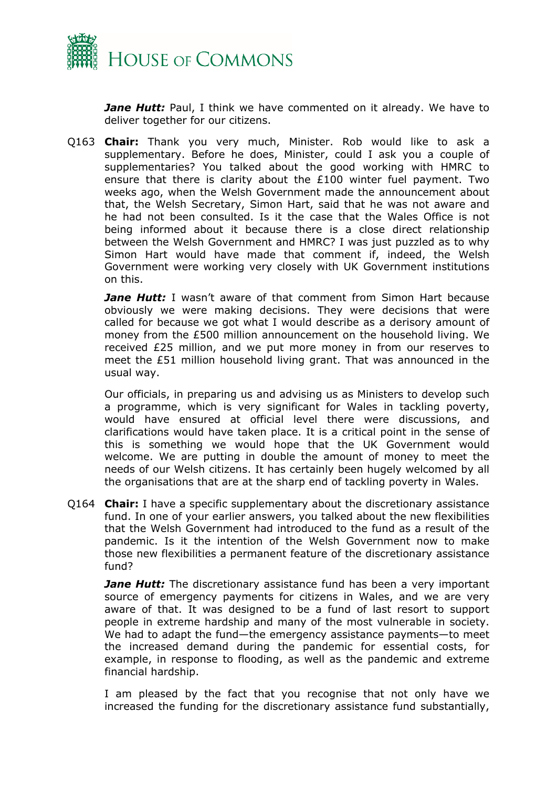

*Jane Hutt:* Paul, I think we have commented on it already. We have to deliver together for our citizens.

Q163 **Chair:** Thank you very much, Minister. Rob would like to ask a supplementary. Before he does, Minister, could I ask you a couple of supplementaries? You talked about the good working with HMRC to ensure that there is clarity about the £100 winter fuel payment. Two weeks ago, when the Welsh Government made the announcement about that, the Welsh Secretary, Simon Hart, said that he was not aware and he had not been consulted. Is it the case that the Wales Office is not being informed about it because there is a close direct relationship between the Welsh Government and HMRC? I was just puzzled as to why Simon Hart would have made that comment if, indeed, the Welsh Government were working very closely with UK Government institutions on this.

*Jane Hutt:* I wasn't aware of that comment from Simon Hart because obviously we were making decisions. They were decisions that were called for because we got what I would describe as a derisory amount of money from the £500 million announcement on the household living. We received £25 million, and we put more money in from our reserves to meet the £51 million household living grant. That was announced in the usual way.

Our officials, in preparing us and advising us as Ministers to develop such a programme, which is very significant for Wales in tackling poverty, would have ensured at official level there were discussions, and clarifications would have taken place. It is a critical point in the sense of this is something we would hope that the UK Government would welcome. We are putting in double the amount of money to meet the needs of our Welsh citizens. It has certainly been hugely welcomed by all the organisations that are at the sharp end of tackling poverty in Wales.

Q164 **Chair:** I have a specific supplementary about the discretionary assistance fund. In one of your earlier answers, you talked about the new flexibilities that the Welsh Government had introduced to the fund as a result of the pandemic. Is it the intention of the Welsh Government now to make those new flexibilities a permanent feature of the discretionary assistance fund?

*Jane Hutt:* The discretionary assistance fund has been a very important source of emergency payments for citizens in Wales, and we are very aware of that. It was designed to be a fund of last resort to support people in extreme hardship and many of the most vulnerable in society. We had to adapt the fund—the emergency assistance payments—to meet the increased demand during the pandemic for essential costs, for example, in response to flooding, as well as the pandemic and extreme financial hardship.

I am pleased by the fact that you recognise that not only have we increased the funding for the discretionary assistance fund substantially,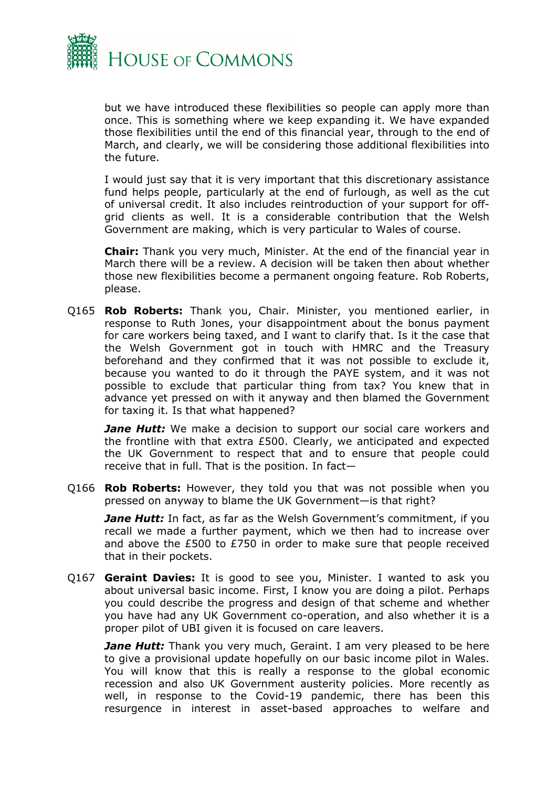

but we have introduced these flexibilities so people can apply more than once. This is something where we keep expanding it. We have expanded those flexibilities until the end of this financial year, through to the end of March, and clearly, we will be considering those additional flexibilities into the future.

I would just say that it is very important that this discretionary assistance fund helps people, particularly at the end of furlough, as well as the cut of universal credit. It also includes reintroduction of your support for offgrid clients as well. It is a considerable contribution that the Welsh Government are making, which is very particular to Wales of course.

**Chair:** Thank you very much, Minister. At the end of the financial year in March there will be a review. A decision will be taken then about whether those new flexibilities become a permanent ongoing feature. Rob Roberts, please.

Q165 **Rob Roberts:** Thank you, Chair. Minister, you mentioned earlier, in response to Ruth Jones, your disappointment about the bonus payment for care workers being taxed, and I want to clarify that. Is it the case that the Welsh Government got in touch with HMRC and the Treasury beforehand and they confirmed that it was not possible to exclude it, because you wanted to do it through the PAYE system, and it was not possible to exclude that particular thing from tax? You knew that in advance yet pressed on with it anyway and then blamed the Government for taxing it. Is that what happened?

*Jane Hutt:* We make a decision to support our social care workers and the frontline with that extra £500. Clearly, we anticipated and expected the UK Government to respect that and to ensure that people could receive that in full. That is the position. In fact—

Q166 **Rob Roberts:** However, they told you that was not possible when you pressed on anyway to blame the UK Government—is that right?

*Jane Hutt:* In fact, as far as the Welsh Government's commitment, if you recall we made a further payment, which we then had to increase over and above the £500 to £750 in order to make sure that people received that in their pockets.

Q167 **Geraint Davies:** It is good to see you, Minister. I wanted to ask you about universal basic income. First, I know you are doing a pilot. Perhaps you could describe the progress and design of that scheme and whether you have had any UK Government co-operation, and also whether it is a proper pilot of UBI given it is focused on care leavers.

*Jane Hutt:* Thank you very much, Geraint. I am very pleased to be here to give a provisional update hopefully on our basic income pilot in Wales. You will know that this is really a response to the global economic recession and also UK Government austerity policies. More recently as well, in response to the Covid-19 pandemic, there has been this resurgence in interest in asset-based approaches to welfare and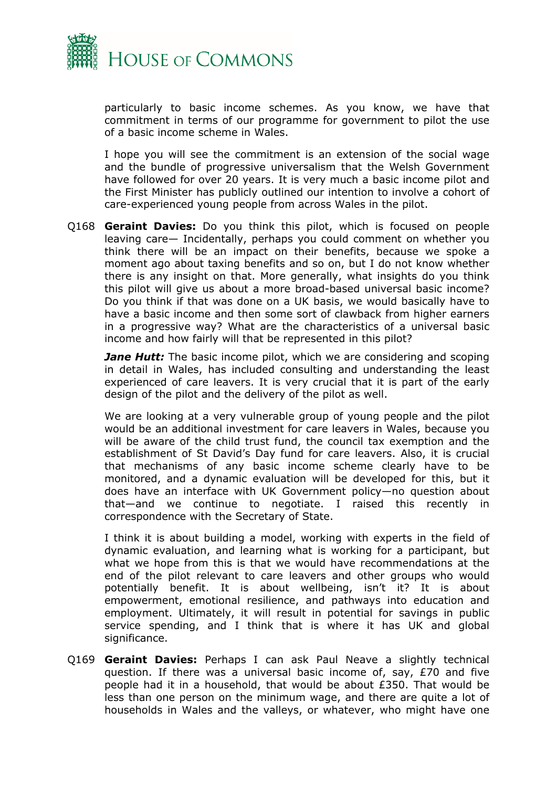

particularly to basic income schemes. As you know, we have that commitment in terms of our programme for government to pilot the use of a basic income scheme in Wales.

I hope you will see the commitment is an extension of the social wage and the bundle of progressive universalism that the Welsh Government have followed for over 20 years. It is very much a basic income pilot and the First Minister has publicly outlined our intention to involve a cohort of care-experienced young people from across Wales in the pilot.

Q168 **Geraint Davies:** Do you think this pilot, which is focused on people leaving care— Incidentally, perhaps you could comment on whether you think there will be an impact on their benefits, because we spoke a moment ago about taxing benefits and so on, but I do not know whether there is any insight on that. More generally, what insights do you think this pilot will give us about a more broad-based universal basic income? Do you think if that was done on a UK basis, we would basically have to have a basic income and then some sort of clawback from higher earners in a progressive way? What are the characteristics of a universal basic income and how fairly will that be represented in this pilot?

*Jane Hutt:* The basic income pilot, which we are considering and scoping in detail in Wales, has included consulting and understanding the least experienced of care leavers. It is very crucial that it is part of the early design of the pilot and the delivery of the pilot as well.

We are looking at a very vulnerable group of young people and the pilot would be an additional investment for care leavers in Wales, because you will be aware of the child trust fund, the council tax exemption and the establishment of St David's Day fund for care leavers. Also, it is crucial that mechanisms of any basic income scheme clearly have to be monitored, and a dynamic evaluation will be developed for this, but it does have an interface with UK Government policy—no question about that—and we continue to negotiate. I raised this recently in correspondence with the Secretary of State.

I think it is about building a model, working with experts in the field of dynamic evaluation, and learning what is working for a participant, but what we hope from this is that we would have recommendations at the end of the pilot relevant to care leavers and other groups who would potentially benefit. It is about wellbeing, isn't it? It is about empowerment, emotional resilience, and pathways into education and employment. Ultimately, it will result in potential for savings in public service spending, and I think that is where it has UK and global significance.

Q169 **Geraint Davies:** Perhaps I can ask Paul Neave a slightly technical question. If there was a universal basic income of, say, £70 and five people had it in a household, that would be about £350. That would be less than one person on the minimum wage, and there are quite a lot of households in Wales and the valleys, or whatever, who might have one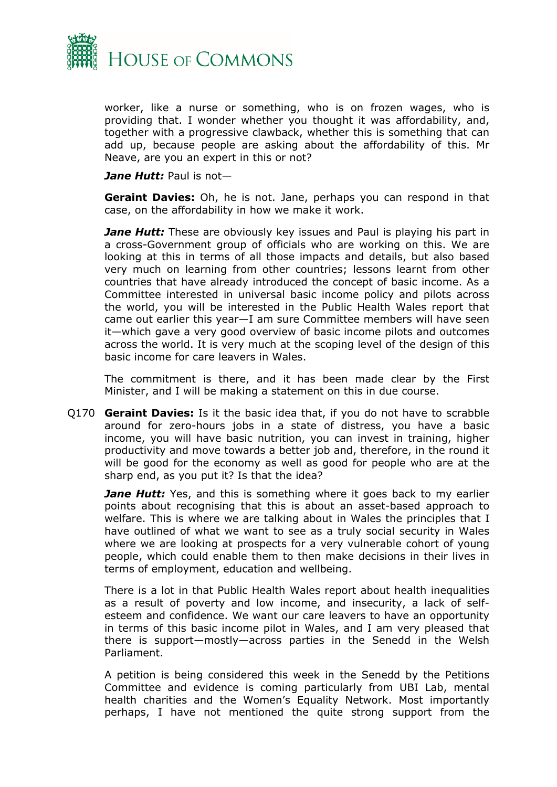

worker, like a nurse or something, who is on frozen wages, who is providing that. I wonder whether you thought it was affordability, and, together with a progressive clawback, whether this is something that can add up, because people are asking about the affordability of this. Mr Neave, are you an expert in this or not?

*Jane Hutt:* Paul is not—

**Geraint Davies:** Oh, he is not. Jane, perhaps you can respond in that case, on the affordability in how we make it work.

*Jane Hutt:* These are obviously key issues and Paul is playing his part in a cross-Government group of officials who are working on this. We are looking at this in terms of all those impacts and details, but also based very much on learning from other countries; lessons learnt from other countries that have already introduced the concept of basic income. As a Committee interested in universal basic income policy and pilots across the world, you will be interested in the Public Health Wales report that came out earlier this year—I am sure Committee members will have seen it—which gave a very good overview of basic income pilots and outcomes across the world. It is very much at the scoping level of the design of this basic income for care leavers in Wales.

The commitment is there, and it has been made clear by the First Minister, and I will be making a statement on this in due course.

Q170 **Geraint Davies:** Is it the basic idea that, if you do not have to scrabble around for zero-hours jobs in a state of distress, you have a basic income, you will have basic nutrition, you can invest in training, higher productivity and move towards a better job and, therefore, in the round it will be good for the economy as well as good for people who are at the sharp end, as you put it? Is that the idea?

*Jane Hutt:* Yes, and this is something where it goes back to my earlier points about recognising that this is about an asset-based approach to welfare. This is where we are talking about in Wales the principles that I have outlined of what we want to see as a truly social security in Wales where we are looking at prospects for a very vulnerable cohort of young people, which could enable them to then make decisions in their lives in terms of employment, education and wellbeing.

There is a lot in that Public Health Wales report about health inequalities as a result of poverty and low income, and insecurity, a lack of selfesteem and confidence. We want our care leavers to have an opportunity in terms of this basic income pilot in Wales, and I am very pleased that there is support—mostly—across parties in the Senedd in the Welsh Parliament.

A petition is being considered this week in the Senedd by the Petitions Committee and evidence is coming particularly from UBI Lab, mental health charities and the Women's Equality Network. Most importantly perhaps, I have not mentioned the quite strong support from the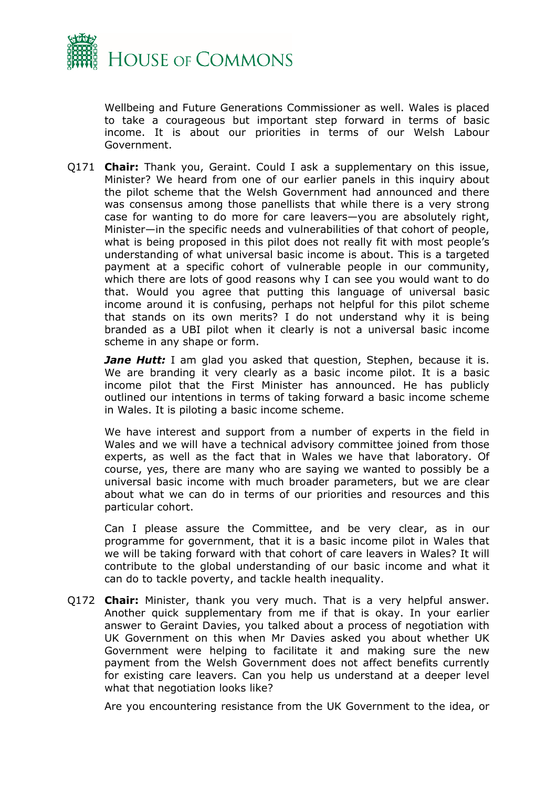

Wellbeing and Future Generations Commissioner as well. Wales is placed to take a courageous but important step forward in terms of basic income. It is about our priorities in terms of our Welsh Labour Government.

Q171 **Chair:** Thank you, Geraint. Could I ask a supplementary on this issue, Minister? We heard from one of our earlier panels in this inquiry about the pilot scheme that the Welsh Government had announced and there was consensus among those panellists that while there is a very strong case for wanting to do more for care leavers—you are absolutely right, Minister—in the specific needs and vulnerabilities of that cohort of people, what is being proposed in this pilot does not really fit with most people's understanding of what universal basic income is about. This is a targeted payment at a specific cohort of vulnerable people in our community, which there are lots of good reasons why I can see you would want to do that. Would you agree that putting this language of universal basic income around it is confusing, perhaps not helpful for this pilot scheme that stands on its own merits? I do not understand why it is being branded as a UBI pilot when it clearly is not a universal basic income scheme in any shape or form.

*Jane Hutt:* I am glad you asked that question, Stephen, because it is. We are branding it very clearly as a basic income pilot. It is a basic income pilot that the First Minister has announced. He has publicly outlined our intentions in terms of taking forward a basic income scheme in Wales. It is piloting a basic income scheme.

We have interest and support from a number of experts in the field in Wales and we will have a technical advisory committee joined from those experts, as well as the fact that in Wales we have that laboratory. Of course, yes, there are many who are saying we wanted to possibly be a universal basic income with much broader parameters, but we are clear about what we can do in terms of our priorities and resources and this particular cohort.

Can I please assure the Committee, and be very clear, as in our programme for government, that it is a basic income pilot in Wales that we will be taking forward with that cohort of care leavers in Wales? It will contribute to the global understanding of our basic income and what it can do to tackle poverty, and tackle health inequality.

Q172 **Chair:** Minister, thank you very much. That is a very helpful answer. Another quick supplementary from me if that is okay. In your earlier answer to Geraint Davies, you talked about a process of negotiation with UK Government on this when Mr Davies asked you about whether UK Government were helping to facilitate it and making sure the new payment from the Welsh Government does not affect benefits currently for existing care leavers. Can you help us understand at a deeper level what that negotiation looks like?

Are you encountering resistance from the UK Government to the idea, or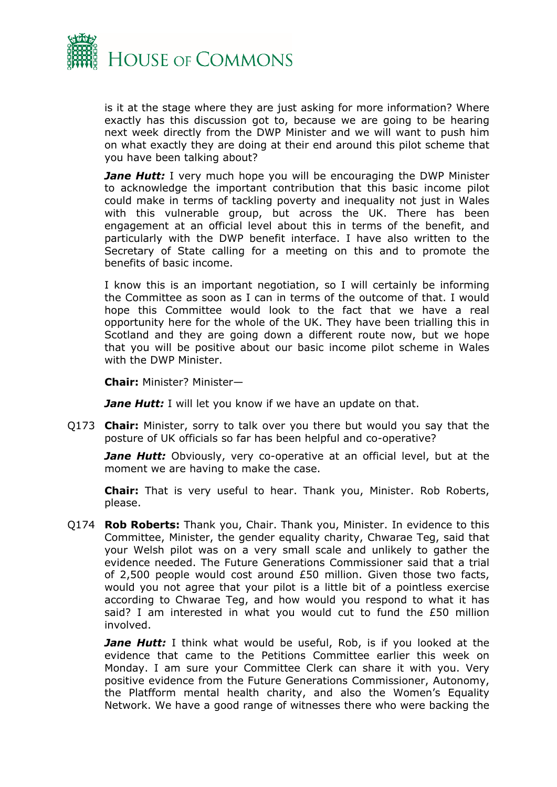

is it at the stage where they are just asking for more information? Where exactly has this discussion got to, because we are going to be hearing next week directly from the DWP Minister and we will want to push him on what exactly they are doing at their end around this pilot scheme that you have been talking about?

*Jane Hutt:* I very much hope you will be encouraging the DWP Minister to acknowledge the important contribution that this basic income pilot could make in terms of tackling poverty and inequality not just in Wales with this vulnerable group, but across the UK. There has been engagement at an official level about this in terms of the benefit, and particularly with the DWP benefit interface. I have also written to the Secretary of State calling for a meeting on this and to promote the benefits of basic income.

I know this is an important negotiation, so I will certainly be informing the Committee as soon as I can in terms of the outcome of that. I would hope this Committee would look to the fact that we have a real opportunity here for the whole of the UK. They have been trialling this in Scotland and they are going down a different route now, but we hope that you will be positive about our basic income pilot scheme in Wales with the DWP Minister.

**Chair:** Minister? Minister—

*Jane Hutt:* I will let you know if we have an update on that.

Q173 **Chair:** Minister, sorry to talk over you there but would you say that the posture of UK officials so far has been helpful and co-operative?

*Jane Hutt:* Obviously, very co-operative at an official level, but at the moment we are having to make the case.

**Chair:** That is very useful to hear. Thank you, Minister. Rob Roberts, please.

Q174 **Rob Roberts:** Thank you, Chair. Thank you, Minister. In evidence to this Committee, Minister, the gender equality charity, Chwarae Teg, said that your Welsh pilot was on a very small scale and unlikely to gather the evidence needed. The Future Generations Commissioner said that a trial of 2,500 people would cost around  $E50$  million. Given those two facts, would you not agree that your pilot is a little bit of a pointless exercise according to Chwarae Teg, and how would you respond to what it has said? I am interested in what you would cut to fund the £50 million involved.

**Jane Hutt:** I think what would be useful, Rob, is if you looked at the evidence that came to the Petitions Committee earlier this week on Monday. I am sure your Committee Clerk can share it with you. Very positive evidence from the Future Generations Commissioner, Autonomy, the Platfform mental health charity, and also the Women's Equality Network. We have a good range of witnesses there who were backing the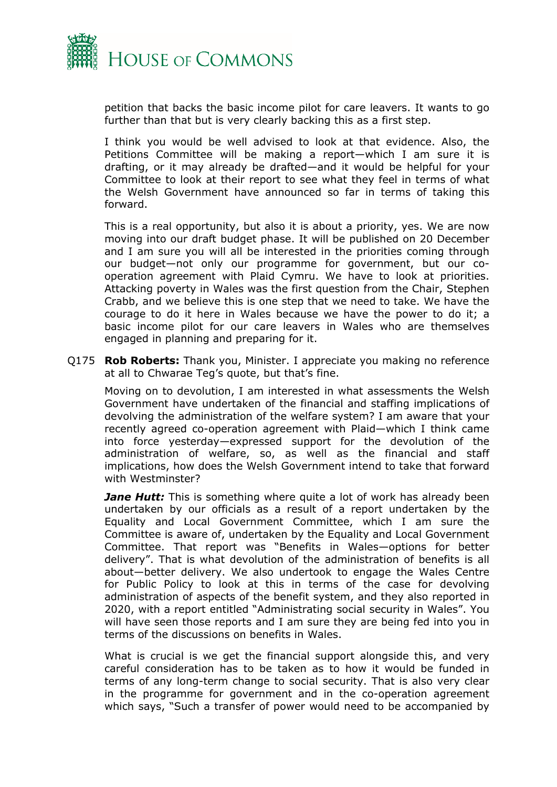

petition that backs the basic income pilot for care leavers. It wants to go further than that but is very clearly backing this as a first step.

I think you would be well advised to look at that evidence. Also, the Petitions Committee will be making a report—which I am sure it is drafting, or it may already be drafted—and it would be helpful for your Committee to look at their report to see what they feel in terms of what the Welsh Government have announced so far in terms of taking this forward.

This is a real opportunity, but also it is about a priority, yes. We are now moving into our draft budget phase. It will be published on 20 December and I am sure you will all be interested in the priorities coming through our budget—not only our programme for government, but our cooperation agreement with Plaid Cymru. We have to look at priorities. Attacking poverty in Wales was the first question from the Chair, Stephen Crabb, and we believe this is one step that we need to take. We have the courage to do it here in Wales because we have the power to do it; a basic income pilot for our care leavers in Wales who are themselves engaged in planning and preparing for it.

Q175 **Rob Roberts:** Thank you, Minister. I appreciate you making no reference at all to Chwarae Teg's quote, but that's fine.

Moving on to devolution, I am interested in what assessments the Welsh Government have undertaken of the financial and staffing implications of devolving the administration of the welfare system? I am aware that your recently agreed co-operation agreement with Plaid—which I think came into force yesterday—expressed support for the devolution of the administration of welfare, so, as well as the financial and staff implications, how does the Welsh Government intend to take that forward with Westminster?

*Jane Hutt:* This is something where quite a lot of work has already been undertaken by our officials as a result of a report undertaken by the Equality and Local Government Committee, which I am sure the Committee is aware of, undertaken by the Equality and Local Government Committee. That report was "Benefits in Wales—options for better delivery". That is what devolution of the administration of benefits is all about—better delivery. We also undertook to engage the Wales Centre for Public Policy to look at this in terms of the case for devolving administration of aspects of the benefit system, and they also reported in 2020, with a report entitled "Administrating social security in Wales". You will have seen those reports and I am sure they are being fed into you in terms of the discussions on benefits in Wales.

What is crucial is we get the financial support alongside this, and very careful consideration has to be taken as to how it would be funded in terms of any long-term change to social security. That is also very clear in the programme for government and in the co-operation agreement which says, "Such a transfer of power would need to be accompanied by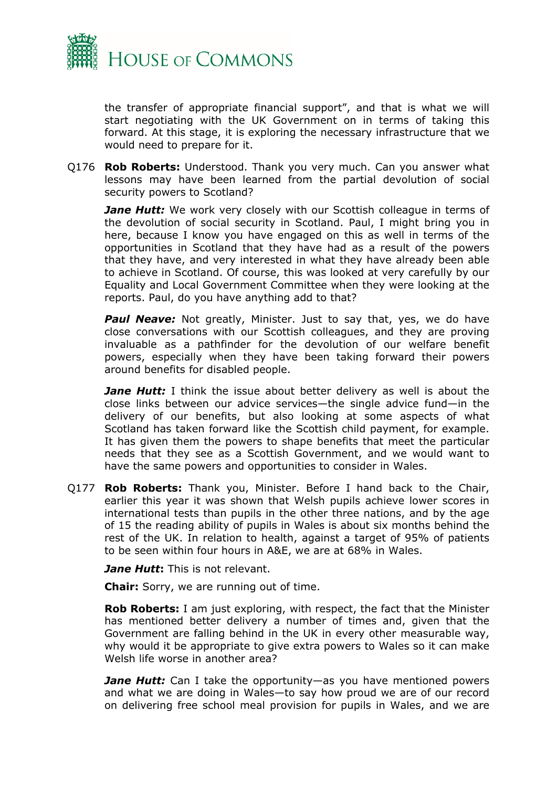

the transfer of appropriate financial support", and that is what we will start negotiating with the UK Government on in terms of taking this forward. At this stage, it is exploring the necessary infrastructure that we would need to prepare for it.

Q176 **Rob Roberts:** Understood. Thank you very much. Can you answer what lessons may have been learned from the partial devolution of social security powers to Scotland?

**Jane Hutt:** We work very closely with our Scottish colleague in terms of the devolution of social security in Scotland. Paul, I might bring you in here, because I know you have engaged on this as well in terms of the opportunities in Scotland that they have had as a result of the powers that they have, and very interested in what they have already been able to achieve in Scotland. Of course, this was looked at very carefully by our Equality and Local Government Committee when they were looking at the reports. Paul, do you have anything add to that?

**Paul Neave:** Not greatly, Minister. Just to say that, yes, we do have close conversations with our Scottish colleagues, and they are proving invaluable as a pathfinder for the devolution of our welfare benefit powers, especially when they have been taking forward their powers around benefits for disabled people.

*Jane Hutt:* I think the issue about better delivery as well is about the close links between our advice services—the single advice fund—in the delivery of our benefits, but also looking at some aspects of what Scotland has taken forward like the Scottish child payment, for example. It has given them the powers to shape benefits that meet the particular needs that they see as a Scottish Government, and we would want to have the same powers and opportunities to consider in Wales.

Q177 **Rob Roberts:** Thank you, Minister. Before I hand back to the Chair, earlier this year it was shown that Welsh pupils achieve lower scores in international tests than pupils in the other three nations, and by the age of 15 the reading ability of pupils in Wales is about six months behind the rest of the UK. In relation to health, against a target of 95% of patients to be seen within four hours in A&E, we are at 68% in Wales.

*Jane Hutt***:** This is not relevant.

**Chair:** Sorry, we are running out of time.

**Rob Roberts:** I am just exploring, with respect, the fact that the Minister has mentioned better delivery a number of times and, given that the Government are falling behind in the UK in every other measurable way, why would it be appropriate to give extra powers to Wales so it can make Welsh life worse in another area?

*Jane Hutt:* Can I take the opportunity—as you have mentioned powers and what we are doing in Wales—to say how proud we are of our record on delivering free school meal provision for pupils in Wales, and we are